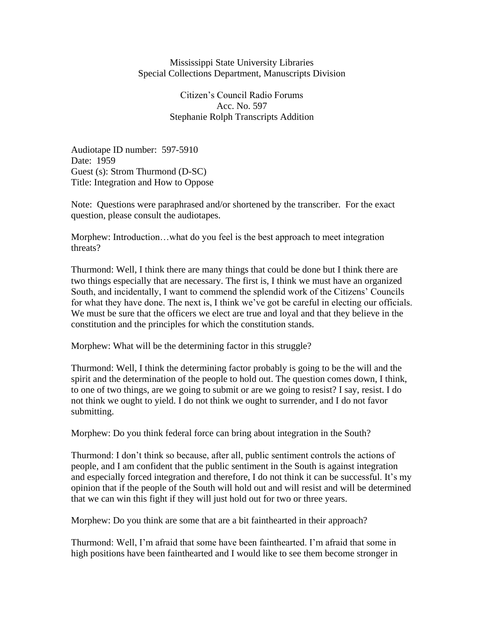## Mississippi State University Libraries Special Collections Department, Manuscripts Division

Citizen's Council Radio Forums Acc. No. 597 Stephanie Rolph Transcripts Addition

Audiotape ID number: 597-5910 Date: 1959 Guest (s): Strom Thurmond (D-SC) Title: Integration and How to Oppose

Note: Questions were paraphrased and/or shortened by the transcriber. For the exact question, please consult the audiotapes.

Morphew: Introduction…what do you feel is the best approach to meet integration threats?

Thurmond: Well, I think there are many things that could be done but I think there are two things especially that are necessary. The first is, I think we must have an organized South, and incidentally, I want to commend the splendid work of the Citizens' Councils for what they have done. The next is, I think we've got be careful in electing our officials. We must be sure that the officers we elect are true and loyal and that they believe in the constitution and the principles for which the constitution stands.

Morphew: What will be the determining factor in this struggle?

Thurmond: Well, I think the determining factor probably is going to be the will and the spirit and the determination of the people to hold out. The question comes down, I think, to one of two things, are we going to submit or are we going to resist? I say, resist. I do not think we ought to yield. I do not think we ought to surrender, and I do not favor submitting.

Morphew: Do you think federal force can bring about integration in the South?

Thurmond: I don't think so because, after all, public sentiment controls the actions of people, and I am confident that the public sentiment in the South is against integration and especially forced integration and therefore, I do not think it can be successful. It's my opinion that if the people of the South will hold out and will resist and will be determined that we can win this fight if they will just hold out for two or three years.

Morphew: Do you think are some that are a bit fainthearted in their approach?

Thurmond: Well, I'm afraid that some have been fainthearted. I'm afraid that some in high positions have been fainthearted and I would like to see them become stronger in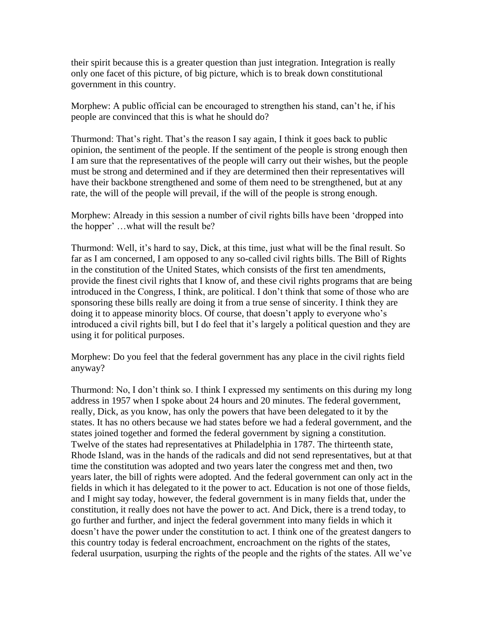their spirit because this is a greater question than just integration. Integration is really only one facet of this picture, of big picture, which is to break down constitutional government in this country.

Morphew: A public official can be encouraged to strengthen his stand, can't he, if his people are convinced that this is what he should do?

Thurmond: That's right. That's the reason I say again, I think it goes back to public opinion, the sentiment of the people. If the sentiment of the people is strong enough then I am sure that the representatives of the people will carry out their wishes, but the people must be strong and determined and if they are determined then their representatives will have their backbone strengthened and some of them need to be strengthened, but at any rate, the will of the people will prevail, if the will of the people is strong enough.

Morphew: Already in this session a number of civil rights bills have been 'dropped into the hopper' …what will the result be?

Thurmond: Well, it's hard to say, Dick, at this time, just what will be the final result. So far as I am concerned, I am opposed to any so-called civil rights bills. The Bill of Rights in the constitution of the United States, which consists of the first ten amendments, provide the finest civil rights that I know of, and these civil rights programs that are being introduced in the Congress, I think, are political. I don't think that some of those who are sponsoring these bills really are doing it from a true sense of sincerity. I think they are doing it to appease minority blocs. Of course, that doesn't apply to everyone who's introduced a civil rights bill, but I do feel that it's largely a political question and they are using it for political purposes.

Morphew: Do you feel that the federal government has any place in the civil rights field anyway?

Thurmond: No, I don't think so. I think I expressed my sentiments on this during my long address in 1957 when I spoke about 24 hours and 20 minutes. The federal government, really, Dick, as you know, has only the powers that have been delegated to it by the states. It has no others because we had states before we had a federal government, and the states joined together and formed the federal government by signing a constitution. Twelve of the states had representatives at Philadelphia in 1787. The thirteenth state, Rhode Island, was in the hands of the radicals and did not send representatives, but at that time the constitution was adopted and two years later the congress met and then, two years later, the bill of rights were adopted. And the federal government can only act in the fields in which it has delegated to it the power to act. Education is not one of those fields, and I might say today, however, the federal government is in many fields that, under the constitution, it really does not have the power to act. And Dick, there is a trend today, to go further and further, and inject the federal government into many fields in which it doesn't have the power under the constitution to act. I think one of the greatest dangers to this country today is federal encroachment, encroachment on the rights of the states, federal usurpation, usurping the rights of the people and the rights of the states. All we've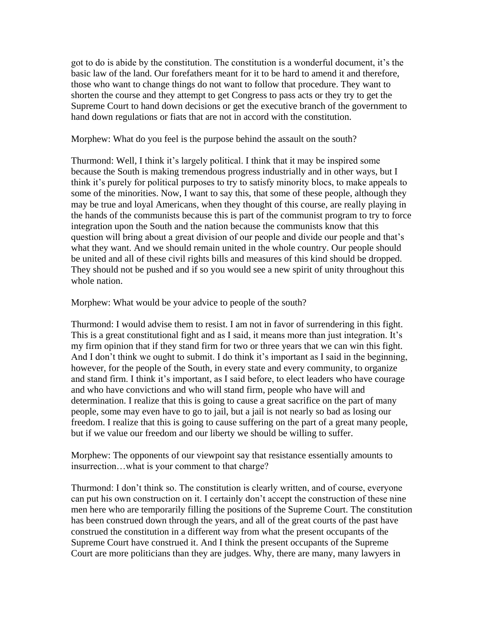got to do is abide by the constitution. The constitution is a wonderful document, it's the basic law of the land. Our forefathers meant for it to be hard to amend it and therefore, those who want to change things do not want to follow that procedure. They want to shorten the course and they attempt to get Congress to pass acts or they try to get the Supreme Court to hand down decisions or get the executive branch of the government to hand down regulations or fiats that are not in accord with the constitution.

Morphew: What do you feel is the purpose behind the assault on the south?

Thurmond: Well, I think it's largely political. I think that it may be inspired some because the South is making tremendous progress industrially and in other ways, but I think it's purely for political purposes to try to satisfy minority blocs, to make appeals to some of the minorities. Now, I want to say this, that some of these people, although they may be true and loyal Americans, when they thought of this course, are really playing in the hands of the communists because this is part of the communist program to try to force integration upon the South and the nation because the communists know that this question will bring about a great division of our people and divide our people and that's what they want. And we should remain united in the whole country. Our people should be united and all of these civil rights bills and measures of this kind should be dropped. They should not be pushed and if so you would see a new spirit of unity throughout this whole nation.

Morphew: What would be your advice to people of the south?

Thurmond: I would advise them to resist. I am not in favor of surrendering in this fight. This is a great constitutional fight and as I said, it means more than just integration. It's my firm opinion that if they stand firm for two or three years that we can win this fight. And I don't think we ought to submit. I do think it's important as I said in the beginning, however, for the people of the South, in every state and every community, to organize and stand firm. I think it's important, as I said before, to elect leaders who have courage and who have convictions and who will stand firm, people who have will and determination. I realize that this is going to cause a great sacrifice on the part of many people, some may even have to go to jail, but a jail is not nearly so bad as losing our freedom. I realize that this is going to cause suffering on the part of a great many people, but if we value our freedom and our liberty we should be willing to suffer.

Morphew: The opponents of our viewpoint say that resistance essentially amounts to insurrection…what is your comment to that charge?

Thurmond: I don't think so. The constitution is clearly written, and of course, everyone can put his own construction on it. I certainly don't accept the construction of these nine men here who are temporarily filling the positions of the Supreme Court. The constitution has been construed down through the years, and all of the great courts of the past have construed the constitution in a different way from what the present occupants of the Supreme Court have construed it. And I think the present occupants of the Supreme Court are more politicians than they are judges. Why, there are many, many lawyers in